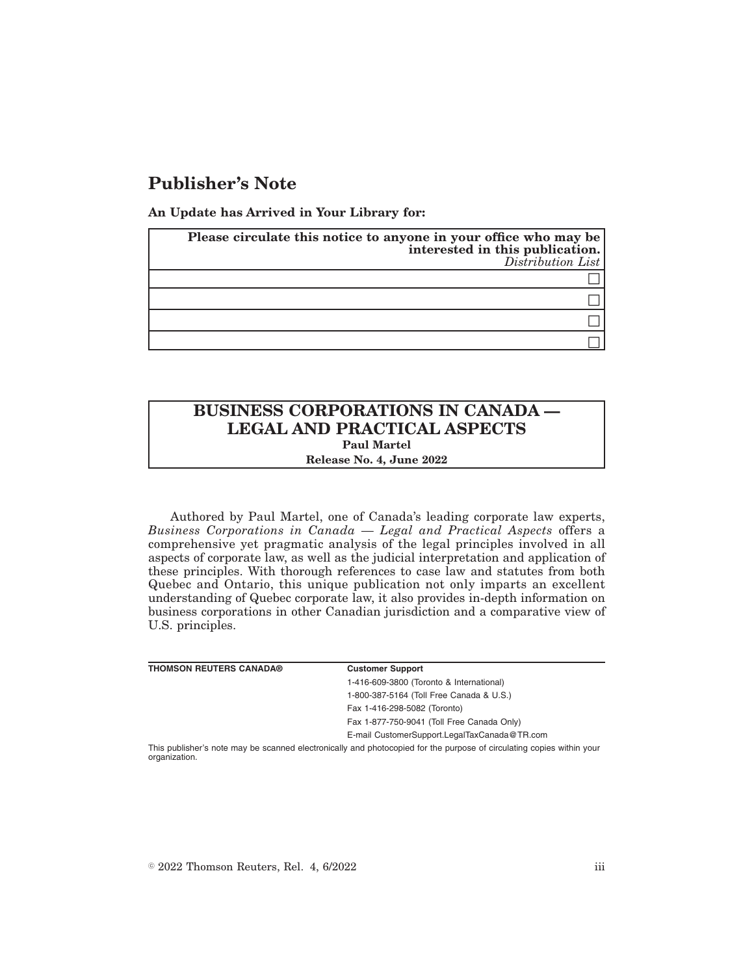## **Publisher's Note**

**An Update has Arrived in Your Library for:**

| Please circulate this notice to anyone in your office who may be<br>interested in this publication.<br>$Distribution$ List |
|----------------------------------------------------------------------------------------------------------------------------|
|                                                                                                                            |
|                                                                                                                            |
|                                                                                                                            |
|                                                                                                                            |

## **BUSINESS CORPORATIONS IN CANADA — LEGAL AND PRACTICAL ASPECTS Paul Martel**

**Release No. 4, June 2022**

Authored by Paul Martel, one of Canada's leading corporate law experts, *Business Corporations in Canada — Legal and Practical Aspects* offers a comprehensive yet pragmatic analysis of the legal principles involved in all aspects of corporate law, as well as the judicial interpretation and application of these principles. With thorough references to case law and statutes from both Quebec and Ontario, this unique publication not only imparts an excellent understanding of Quebec corporate law, it also provides in-depth information on business corporations in other Canadian jurisdiction and a comparative view of U.S. principles.

| <b>THOMSON REUTERS CANADA®</b> | <b>Customer Support</b>                                                                                               |
|--------------------------------|-----------------------------------------------------------------------------------------------------------------------|
|                                | 1-416-609-3800 (Toronto & International)                                                                              |
|                                | 1-800-387-5164 (Toll Free Canada & U.S.)                                                                              |
|                                | Fax 1-416-298-5082 (Toronto)                                                                                          |
|                                | Fax 1-877-750-9041 (Toll Free Canada Only)                                                                            |
|                                | E-mail CustomerSupport.LegalTaxCanada@TR.com                                                                          |
|                                | This publisher's note may be scanned electronically and photocopied for the purpose of circulating copies within your |

This publisher's note may be scanned electronically and photocopied for the purpose of circulating copies within your organization.